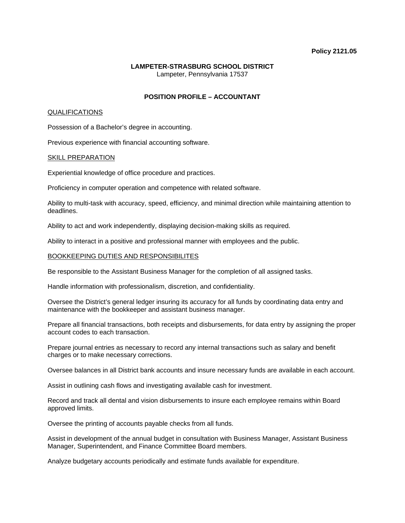#### **Policy 2121.05**

# **LAMPETER-STRASBURG SCHOOL DISTRICT**  Lampeter, Pennsylvania 17537

# **POSITION PROFILE – ACCOUNTANT**

### QUALIFICATIONS

Possession of a Bachelor's degree in accounting.

Previous experience with financial accounting software.

#### SKILL PREPARATION

Experiential knowledge of office procedure and practices.

Proficiency in computer operation and competence with related software.

Ability to multi-task with accuracy, speed, efficiency, and minimal direction while maintaining attention to deadlines.

Ability to act and work independently, displaying decision-making skills as required.

Ability to interact in a positive and professional manner with employees and the public.

## BOOKKEEPING DUTIES AND RESPONSIBILITES

Be responsible to the Assistant Business Manager for the completion of all assigned tasks.

Handle information with professionalism, discretion, and confidentiality.

Oversee the District's general ledger insuring its accuracy for all funds by coordinating data entry and maintenance with the bookkeeper and assistant business manager.

Prepare all financial transactions, both receipts and disbursements, for data entry by assigning the proper account codes to each transaction.

Prepare journal entries as necessary to record any internal transactions such as salary and benefit charges or to make necessary corrections.

Oversee balances in all District bank accounts and insure necessary funds are available in each account.

Assist in outlining cash flows and investigating available cash for investment.

Record and track all dental and vision disbursements to insure each employee remains within Board approved limits.

Oversee the printing of accounts payable checks from all funds.

Assist in development of the annual budget in consultation with Business Manager, Assistant Business Manager, Superintendent, and Finance Committee Board members.

Analyze budgetary accounts periodically and estimate funds available for expenditure.